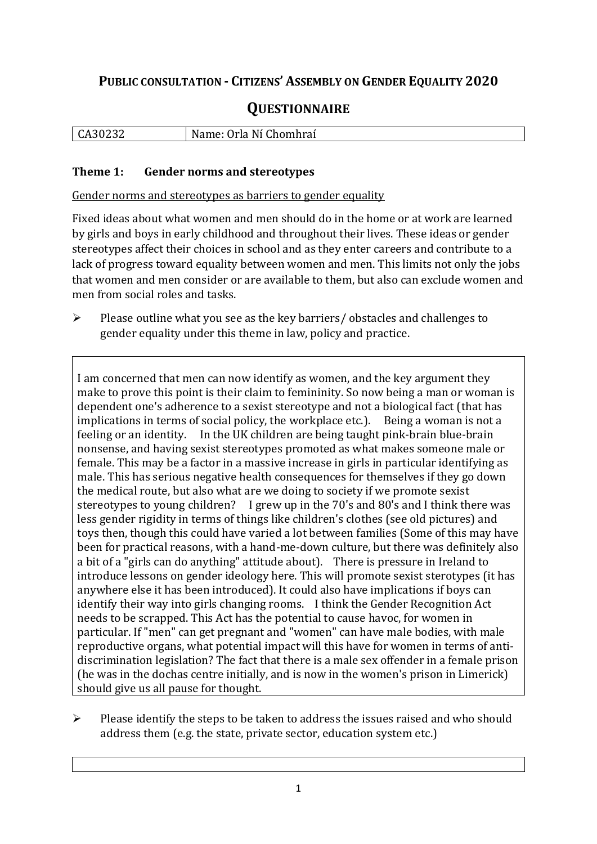# **PUBLIC CONSULTATION - CITIZENS' ASSEMBLY ON GENDER EQUALITY 2020**

# **QUESTIONNAIRE**

| חפי<br>$\mathbf{r}$<br>LA30232 | $N_{\cdot}$<br>Ni<br>Orla Ni Chomhrai<br>$-$<br>ivame: |
|--------------------------------|--------------------------------------------------------|
|                                |                                                        |

#### **Theme 1: Gender norms and stereotypes**

Gender norms and stereotypes as barriers to gender equality

Fixed ideas about what women and men should do in the home or at work are learned by girls and boys in early childhood and throughout their lives. These ideas or gender stereotypes affect their choices in school and as they enter careers and contribute to a lack of progress toward equality between women and men. This limits not only the jobs that women and men consider or are available to them, but also can exclude women and men from social roles and tasks.

➢ Please outline what you see as the key barriers/ obstacles and challenges to gender equality under this theme in law, policy and practice.

I am concerned that men can now identify as women, and the key argument they make to prove this point is their claim to femininity. So now being a man or woman is dependent one's adherence to a sexist stereotype and not a biological fact (that has implications in terms of social policy, the workplace etc.). Being a woman is not a feeling or an identity. In the UK children are being taught pink-brain blue-brain nonsense, and having sexist stereotypes promoted as what makes someone male or female. This may be a factor in a massive increase in girls in particular identifying as male. This has serious negative health consequences for themselves if they go down the medical route, but also what are we doing to society if we promote sexist stereotypes to young children? I grew up in the 70's and 80's and I think there was less gender rigidity in terms of things like children's clothes (see old pictures) and toys then, though this could have varied a lot between families (Some of this may have been for practical reasons, with a hand-me-down culture, but there was definitely also a bit of a "girls can do anything" attitude about). There is pressure in Ireland to introduce lessons on gender ideology here. This will promote sexist sterotypes (it has anywhere else it has been introduced). It could also have implications if boys can identify their way into girls changing rooms. I think the Gender Recognition Act needs to be scrapped. This Act has the potential to cause havoc, for women in particular. If "men" can get pregnant and "women" can have male bodies, with male reproductive organs, what potential impact will this have for women in terms of antidiscrimination legislation? The fact that there is a male sex offender in a female prison (he was in the dochas centre initially, and is now in the women's prison in Limerick) should give us all pause for thought.

 $\triangleright$  Please identify the steps to be taken to address the issues raised and who should address them (e.g. the state, private sector, education system etc.)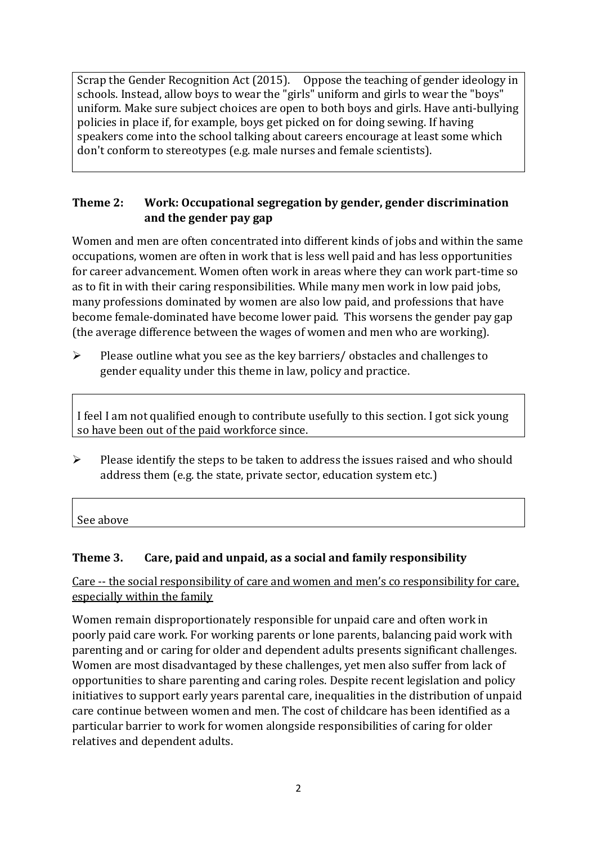Scrap the Gender Recognition Act (2015). Oppose the teaching of gender ideology in schools. Instead, allow boys to wear the "girls" uniform and girls to wear the "boys" uniform. Make sure subject choices are open to both boys and girls. Have anti-bullying policies in place if, for example, boys get picked on for doing sewing. If having speakers come into the school talking about careers encourage at least some which don't conform to stereotypes (e.g. male nurses and female scientists).

### **Theme 2: Work: Occupational segregation by gender, gender discrimination and the gender pay gap**

Women and men are often concentrated into different kinds of jobs and within the same occupations, women are often in work that is less well paid and has less opportunities for career advancement. Women often work in areas where they can work part-time so as to fit in with their caring responsibilities. While many men work in low paid jobs, many professions dominated by women are also low paid, and professions that have become female-dominated have become lower paid. This worsens the gender pay gap (the average difference between the wages of women and men who are working).

➢ Please outline what you see as the key barriers/ obstacles and challenges to gender equality under this theme in law, policy and practice.

I feel I am not qualified enough to contribute usefully to this section. I got sick young so have been out of the paid workforce since.

 $\triangleright$  Please identify the steps to be taken to address the issues raised and who should address them (e.g. the state, private sector, education system etc.)

See above

## **Theme 3. Care, paid and unpaid, as a social and family responsibility**

Care -- the social responsibility of care and women and men's co responsibility for care, especially within the family

Women remain disproportionately responsible for unpaid care and often work in poorly paid care work. For working parents or [lone parents,](https://aran.library.nuigalway.ie/bitstream/handle/10379/6044/Millar_and_Crosse_Activation_Report.pdf?sequence=1&isAllowed=y) balancing paid work with parenting and or caring for older and dependent adults presents significant challenges. Women are [most disadvantaged by these challenges,](https://eige.europa.eu/gender-equality-index/game/IE/W) yet men also suffer from lack of opportunities to share parenting and caring roles. Despite recent legislation and policy initiatives to support early years parental care, [inequalities in the distribution of unpaid](https://www.ihrec.ie/app/uploads/2019/07/Caring-and-Unpaid-Work-in-Ireland_Final.pdf)  [care](https://www.ihrec.ie/app/uploads/2019/07/Caring-and-Unpaid-Work-in-Ireland_Final.pdf) continue between women and men. The cost of childcare has been identified as a particular barrier to work for women alongside responsibilities of caring for older relatives and dependent adults.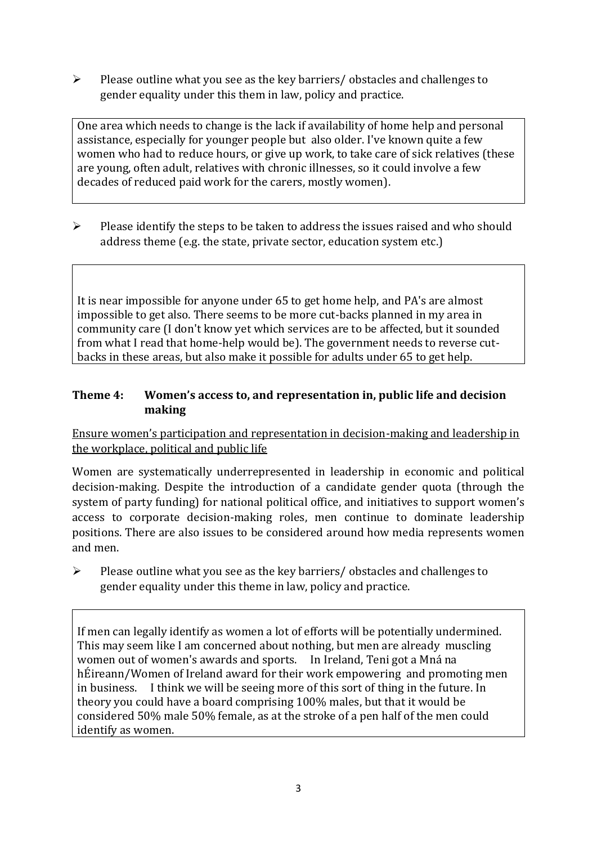➢ Please outline what you see as the key barriers/ obstacles and challenges to gender equality under this them in law, policy and practice.

One area which needs to change is the lack if availability of home help and personal assistance, especially for younger people but also older. I've known quite a few women who had to reduce hours, or give up work, to take care of sick relatives (these are young, often adult, relatives with chronic illnesses, so it could involve a few decades of reduced paid work for the carers, mostly women).

 $\triangleright$  Please identify the steps to be taken to address the issues raised and who should address theme (e.g. the state, private sector, education system etc.)

It is near impossible for anyone under 65 to get home help, and PA's are almost impossible to get also. There seems to be more cut-backs planned in my area in community care (I don't know yet which services are to be affected, but it sounded from what I read that home-help would be). The government needs to reverse cutbacks in these areas, but also make it possible for adults under 65 to get help.

#### **Theme 4: Women's access to, and representation in, public life and decision making**

Ensure women's participation and representation in decision-making and leadership in the workplace, political and public life

Women are systematically underrepresented in leadership in [economic](https://eige.europa.eu/gender-equality-index/2019/compare-countries/power/2/bar) and [political](https://eige.europa.eu/gender-equality-index/2019/compare-countries/power/1/bar)  [decision-](https://eige.europa.eu/gender-equality-index/2019/compare-countries/power/1/bar)making. Despite the introduction of a candidate gender quota (through the system of party funding) for national political office, and [initiatives](https://betterbalance.ie/) to support women's access to corporate decision-making roles, men continue to dominate leadership positions. There are also issues to be considered around how media represents women and men.

➢ Please outline what you see as the key barriers/ obstacles and challenges to gender equality under this theme in law, policy and practice.

If men can legally identify as women a lot of efforts will be potentially undermined. This may seem like I am concerned about nothing, but men are already muscling women out of women's awards and sports. In Ireland, Teni got a Mná na hÉireann/Women of Ireland award for their work empowering and promoting men in business. I think we will be seeing more of this sort of thing in the future. In theory you could have a board comprising 100% males, but that it would be considered 50% male 50% female, as at the stroke of a pen half of the men could identify as women.